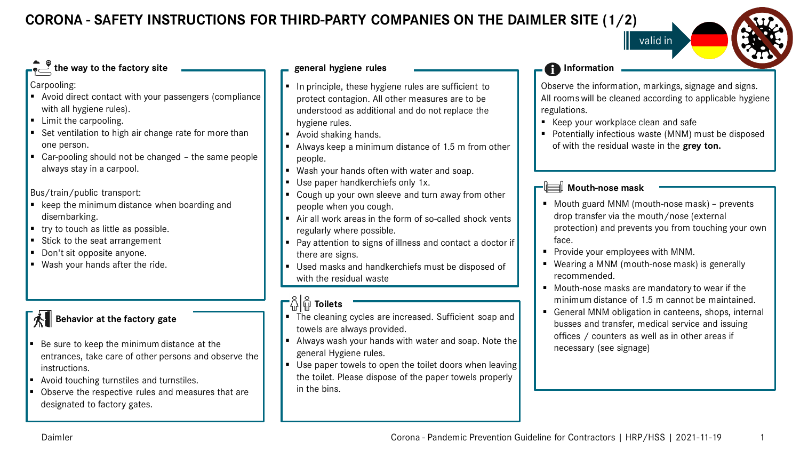**CORONA - SAFETY INSTRUCTIONS FOR THIRD-PARTY COMPANIES ON THE DAIMLER SITE (1/2)**

#### **the way to the factory site**

Carpooling:

- Avoid direct contact with your passengers (compliance with all hygiene rules).
- **E** Limit the carpooling.
- Set ventilation to high air change rate for more than one person.
- Car-pooling should not be changed the same people always stay in a carpool.

Bus/train/public transport:

- $\blacksquare$  keep the minimum distance when boarding and disembarking.
- $\blacksquare$  try to touch as little as possible.
- Stick to the seat arrangement
- Don't sit opposite anyone.
- Wash your hands after the ride.

### **Behavior at the factory gate**

- Be sure to keep the minimum distance at the entrances, take care of other persons and observe the instructions.
- Avoid touching turnstiles and turnstiles.
- Observe the respective rules and measures that are designated to factory gates.

#### **general hygiene rules**

- In principle, these hygiene rules are sufficient to protect contagion. All other measures are to be understood as additional and do not replace the hygiene rules.
- Avoid shaking hands.
- Always keep a minimum distance of 1.5 m from other people.
- Wash your hands often with water and soap.
- Use paper handkerchiefs only 1x.
- Cough up your own sleeve and turn away from other people when you cough.
- Air all work areas in the form of so-called shock vents regularly where possible.
- Pay attention to signs of illness and contact a doctor if there are signs.
- Used masks and handkerchiefs must be disposed of with the residual waste

### **−**္ဂိုြို Toilets

- The cleaning cycles are increased. Sufficient soap and towels are always provided.
- Always wash your hands with water and soap. Note the general Hygiene rules.
- Use paper towels to open the toilet doors when leaving the toilet. Please dispose of the paper towels properly in the bins.

#### **Information**

Observe the information, markings, signage and signs. All rooms will be cleaned according to applicable hygiene regulations.

valid in

- Keep your workplace clean and safe
- **Potentially infectious waste (MNM) must be disposed** of with the residual waste in the **grey ton.**

#### **Mouth-nose mask**

- Mouth guard MNM (mouth-nose mask) prevents drop transfer via the mouth/nose (external protection) and prevents you from touching your own face.
- **Provide your employees with MNM.**
- Wearing a MNM (mouth-nose mask) is generally recommended.
- Mouth-nose masks are mandatory to wear if the minimum distance of 1.5 m cannot be maintained.
- General MNM obligation in canteens, shops, internal busses and transfer, medical service and issuing offices / counters as well as in other areas if necessary (see signage)